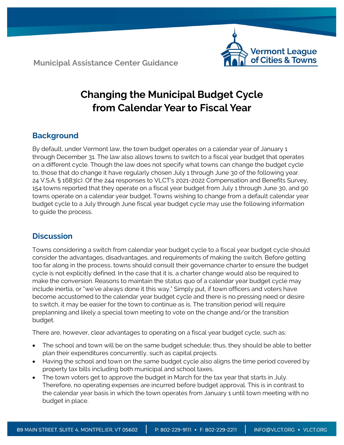**Municipal Assistance Center Guidance**



# **Changing the Municipal Budget Cycle from Calendar Year to Fiscal Year**

# **Background**

By default, under Vermont law, the town budget operates on a calendar year of January 1 through December 31. The law also allows towns to switch to a fiscal year budget that operates on a different cycle. Though the law does not specify what towns can change the budget cycle to, those that do change it have regularly chosen July 1 through June 30 of the following year. 24 V.S.A. § 1683(c). Of the 244 responses to VLCT's 2021-2022 Compensation and Benefits Survey, 154 towns reported that they operate on a fiscal year budget from July 1 through June 30, and 90 towns operate on a calendar year budget. Towns wishing to change from a default calendar year budget cycle to a July through June fiscal year budget cycle may use the following information to guide the process.

# **Discussion**

Towns considering a switch from calendar year budget cycle to a fiscal year budget cycle should consider the advantages, disadvantages, and requirements of making the switch. Before getting too far along in the process, towns should consult their governance charter to ensure the budget cycle is not explicitly defined. In the case that it is, a charter change would also be required to make the conversion. Reasons to maintain the status quo of a calendar year budget cycle may include inertia, or "we've always done it this way." Simply put, if town officers and voters have become accustomed to the calendar year budget cycle and there is no pressing need or desire to switch, it may be easier for the town to continue as is. The transition period will require preplanning and likely a special town meeting to vote on the change and/or the transition budget.

There are, however, clear advantages to operating on a fiscal year budget cycle, such as:

- The school and town will be on the same budget schedule; thus, they should be able to better plan their expenditures concurrently, such as capital projects.
- Having the school and town on the same budget cycle also aligns the time period covered by property tax bills including both municipal and school taxes.
- The town voters get to approve the budget in March for the tax year that starts in July. Therefore, no operating expenses are incurred before budget approval. This is in contrast to the calendar year basis in which the town operates from January 1 until town meeting with no budget in place.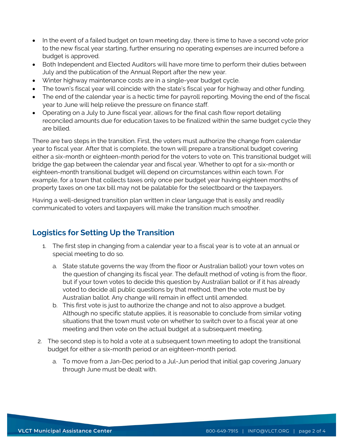- In the event of a failed budget on town meeting day, there is time to have a second vote prior to the new fiscal year starting, further ensuring no operating expenses are incurred before a budget is approved.
- Both Independent and Elected Auditors will have more time to perform their duties between July and the publication of the Annual Report after the new year.
- Winter highway maintenance costs are in a single-year budget cycle.
- The town's fiscal year will coincide with the state's fiscal year for highway and other funding.
- The end of the calendar year is a hectic time for payroll reporting. Moving the end of the fiscal year to June will help relieve the pressure on finance staff.
- Operating on a July to June fiscal year, allows for the final cash flow report detailing reconciled amounts due for education taxes to be finalized within the same budget cycle they are billed.

There are two steps in the transition. First, the voters must authorize the change from calendar year to fiscal year. After that is complete, the town will prepare a transitional budget covering either a six-month or eighteen-month period for the voters to vote on. This transitional budget will bridge the gap between the calendar year and fiscal year. Whether to opt for a six-month or eighteen-month transitional budget will depend on circumstances within each town. For example, for a town that collects taxes only once per budget year having eighteen months of property taxes on one tax bill may not be palatable for the selectboard or the taxpayers.

Having a well-designed transition plan written in clear language that is easily and readily communicated to voters and taxpayers will make the transition much smoother.

# **Logistics for Setting Up the Transition**

- 1. The first step in changing from a calendar year to a fiscal year is to vote at an annual or special meeting to do so.
	- a. State statute governs the way (from the floor or Australian ballot) your town votes on the question of changing its fiscal year. The default method of voting is from the floor, but if your town votes to decide this question by Australian ballot or if it has already voted to decide all public questions by that method, then the vote must be by Australian ballot. Any change will remain in effect until amended.
	- b. This first vote is just to authorize the change and not to also approve a budget. Although no specific statute applies, it is reasonable to conclude from similar voting situations that the town must vote on whether to switch over to a fiscal year at one meeting and then vote on the actual budget at a subsequent meeting.
- 2. The second step is to hold a vote at a subsequent town meeting to adopt the transitional budget for either a six-month period or an eighteen-month period.
	- a. To move from a Jan-Dec period to a Jul-Jun period that initial gap covering January through June must be dealt with.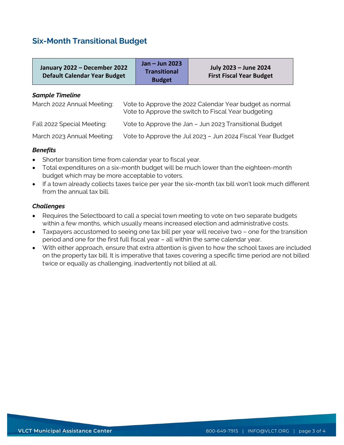### **Six-Month Transitional Budget**

| January 2022 - December 2022<br><b>Default Calendar Year Budget</b>                                                                                                    |                                                        | Jan - Jun 2023<br><b>Transitional</b><br><b>Budget</b> | July 2023 - June 2024<br><b>First Fiscal Year Budget</b> |  |
|------------------------------------------------------------------------------------------------------------------------------------------------------------------------|--------------------------------------------------------|--------------------------------------------------------|----------------------------------------------------------|--|
| <b>Sample Timeline</b><br>March 2022 Annual Meeting:<br>Vote to Approve the 2022 Calendar Year budget as normal<br>Vote to Approve the switch to Fiscal Year budgeting |                                                        |                                                        |                                                          |  |
| Fall 2022 Special Meeting:                                                                                                                                             | Vote to Approve the Jan - Jun 2023 Transitional Budget |                                                        |                                                          |  |

March 2023 Annual Meeting: Vote to Approve the Jul 2023 – Jun 2024 Fiscal Year Budget

#### *Benefits*

- Shorter transition time from calendar year to fiscal year.
- Total expenditures on a six-month budget will be much lower than the eighteen-month budget which may be more acceptable to voters.
- If a town already collects taxes twice per year the six-month tax bill won't look much different from the annual tax bill.

#### *Challenges*

- Requires the Selectboard to call a special town meeting to vote on two separate budgets within a few months, which usually means increased election and administrative costs.
- Taxpayers accustomed to seeing one tax bill per year will receive two one for the transition period and one for the first full fiscal year – all within the same calendar year.
- With either approach, ensure that extra attention is given to how the school taxes are included on the property tax bill. It is imperative that taxes covering a specific time period are not billed twice or equally as challenging, inadvertently not billed at all.